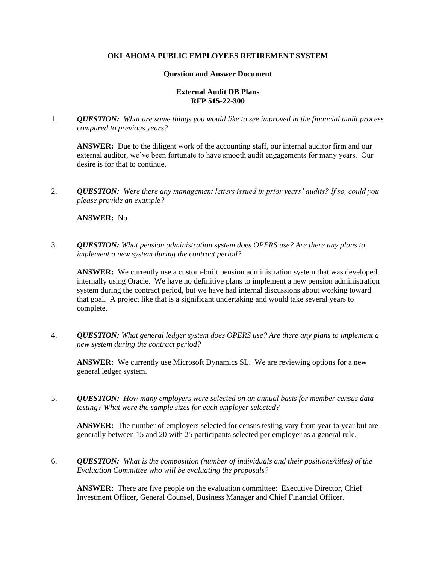## **OKLAHOMA PUBLIC EMPLOYEES RETIREMENT SYSTEM**

#### **Question and Answer Document**

### **External Audit DB Plans RFP 515-22-300**

1. *QUESTION: What are some things you would like to see improved in the financial audit process compared to previous years?*

**ANSWER:** Due to the diligent work of the accounting staff, our internal auditor firm and our external auditor, we've been fortunate to have smooth audit engagements for many years. Our desire is for that to continue.

2. *QUESTION: Were there any management letters issued in prior years' audits? If so, could you please provide an example?*

**ANSWER:** No

3. *QUESTION: What pension administration system does OPERS use? Are there any plans to implement a new system during the contract period?* 

**ANSWER:** We currently use a custom-built pension administration system that was developed internally using Oracle. We have no definitive plans to implement a new pension administration system during the contract period, but we have had internal discussions about working toward that goal. A project like that is a significant undertaking and would take several years to complete.

4. *QUESTION: What general ledger system does OPERS use? Are there any plans to implement a new system during the contract period?*

**ANSWER:** We currently use Microsoft Dynamics SL. We are reviewing options for a new general ledger system.

5. *QUESTION: How many employers were selected on an annual basis for member census data testing? What were the sample sizes for each employer selected?*

**ANSWER:** The number of employers selected for census testing vary from year to year but are generally between 15 and 20 with 25 participants selected per employer as a general rule.

6. *QUESTION: What is the composition (number of individuals and their positions/titles) of the Evaluation Committee who will be evaluating the proposals?*

**ANSWER:** There are five people on the evaluation committee: Executive Director, Chief Investment Officer, General Counsel, Business Manager and Chief Financial Officer.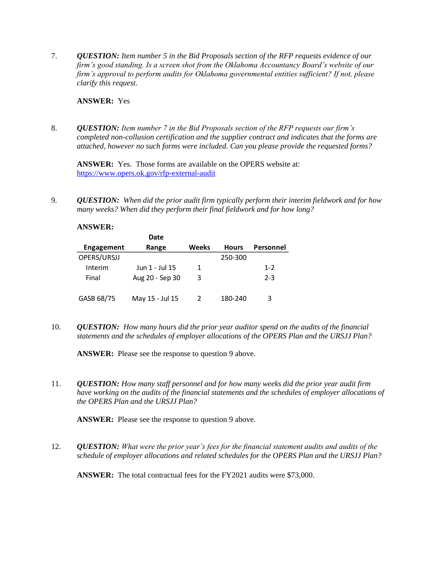7. *QUESTION: Item number 5 in the Bid Proposals section of the RFP requests evidence of our firm's good standing. Is a screen shot from the Oklahoma Accountancy Board's website of our firm's approval to perform audits for Oklahoma governmental entities sufficient? If not, please clarify this request.*

# **ANSWER:** Yes

8. *QUESTION: Item number 7 in the Bid Proposals section of the RFP requests our firm's completed non-collusion certification and the supplier contract and indicates that the forms are attached, however no such forms were included. Can you please provide the requested forms?*

**ANSWER:** Yes. Those forms are available on the OPERS website at: <https://www.opers.ok.gov/rfp-external-audit>

9. *QUESTION: When did the prior audit firm typically perform their interim fieldwork and for how many weeks? When did they perform their final fieldwork and for how long?* 

#### **ANSWER:**

|                   | Date            |              |              |           |
|-------------------|-----------------|--------------|--------------|-----------|
| <b>Engagement</b> | Range           | <b>Weeks</b> | <b>Hours</b> | Personnel |
| OPERS/URSJJ       |                 |              | 250-300      |           |
| Interim           | Jun 1 - Jul 15  | 1            |              | $1 - 2$   |
| Final             | Aug 20 - Sep 30 | 3            |              | $2 - 3$   |
| GASB 68/75        | May 15 - Jul 15 |              | 180-240      | 3         |

10. *QUESTION: How many hours did the prior year auditor spend on the audits of the financial statements and the schedules of employer allocations of the OPERS Plan and the URSJJ Plan?* 

**ANSWER:** Please see the response to question 9 above.

11. *QUESTION: How many staff personnel and for how many weeks did the prior year audit firm have working on the audits of the financial statements and the schedules of employer allocations of the OPERS Plan and the URSJJ Plan?*

**ANSWER:** Please see the response to question 9 above.

12. *QUESTION: What were the prior year's fees for the financial statement audits and audits of the schedule of employer allocations and related schedules for the OPERS Plan and the URSJJ Plan?* 

**ANSWER:** The total contractual fees for the FY2021 audits were \$73,000.